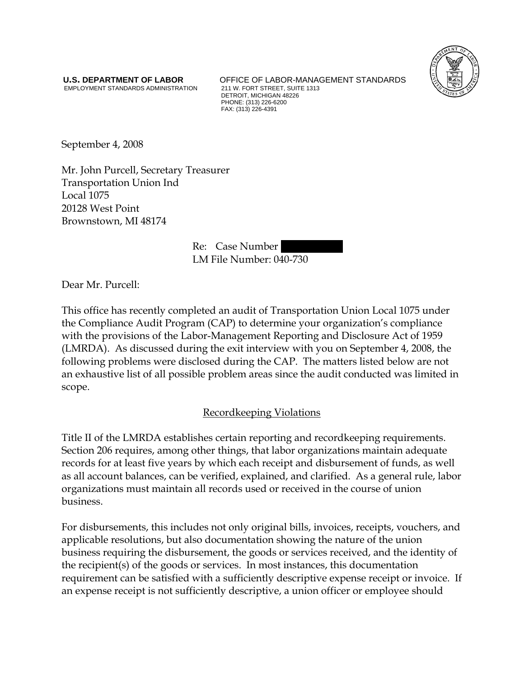EMPLOYMENT STANDARDS ADMINISTRATION

**U.S. DEPARTMENT OF LABOR** OFFICE OF LABOR-MANAGEMENT STANDARDS<br>
EMPLOYMENT STANDARDS ADMINISTRATION 211 W. FORT STREET, SUITE 1313 DETROIT, MICHIGAN 48226 PHONE: (313) 226-6200 FAX: (313) 226-4391



September 4, 2008

Mr. John Purcell, Secretary Treasurer Transportation Union Ind Local 1075 20128 West Point Brownstown, MI 48174

> Re: Case Number LM File Number: 040-730

Dear Mr. Purcell:

This office has recently completed an audit of Transportation Union Local 1075 under the Compliance Audit Program (CAP) to determine your organization's compliance with the provisions of the Labor-Management Reporting and Disclosure Act of 1959 (LMRDA). As discussed during the exit interview with you on September 4, 2008, the following problems were disclosed during the CAP. The matters listed below are not an exhaustive list of all possible problem areas since the audit conducted was limited in scope.

## Recordkeeping Violations

Title II of the LMRDA establishes certain reporting and recordkeeping requirements. Section 206 requires, among other things, that labor organizations maintain adequate records for at least five years by which each receipt and disbursement of funds, as well as all account balances, can be verified, explained, and clarified. As a general rule, labor organizations must maintain all records used or received in the course of union business.

For disbursements, this includes not only original bills, invoices, receipts, vouchers, and applicable resolutions, but also documentation showing the nature of the union business requiring the disbursement, the goods or services received, and the identity of the recipient(s) of the goods or services. In most instances, this documentation requirement can be satisfied with a sufficiently descriptive expense receipt or invoice. If an expense receipt is not sufficiently descriptive, a union officer or employee should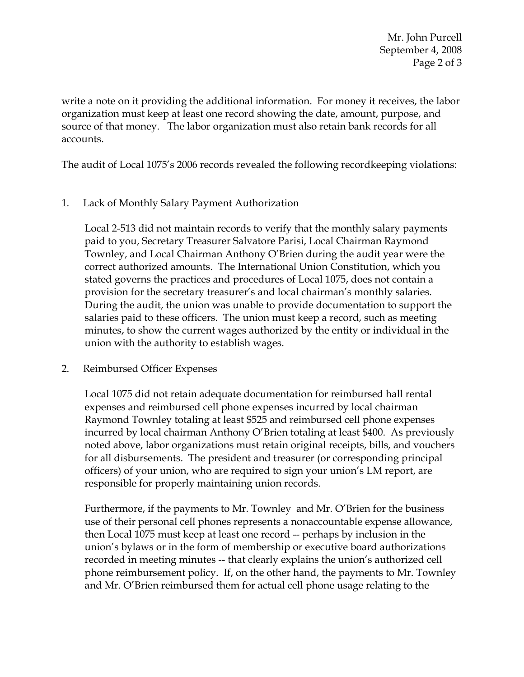Mr. John Purcell September 4, 2008 Page 2 of 3

write a note on it providing the additional information. For money it receives, the labor organization must keep at least one record showing the date, amount, purpose, and source of that money. The labor organization must also retain bank records for all accounts.

The audit of Local 1075's 2006 records revealed the following recordkeeping violations:

1. Lack of Monthly Salary Payment Authorization

Local 2-513 did not maintain records to verify that the monthly salary payments paid to you, Secretary Treasurer Salvatore Parisi, Local Chairman Raymond Townley, and Local Chairman Anthony O'Brien during the audit year were the correct authorized amounts. The International Union Constitution, which you stated governs the practices and procedures of Local 1075, does not contain a provision for the secretary treasurer's and local chairman's monthly salaries. During the audit, the union was unable to provide documentation to support the salaries paid to these officers. The union must keep a record, such as meeting minutes, to show the current wages authorized by the entity or individual in the union with the authority to establish wages.

2. Reimbursed Officer Expenses

Local 1075 did not retain adequate documentation for reimbursed hall rental expenses and reimbursed cell phone expenses incurred by local chairman Raymond Townley totaling at least \$525 and reimbursed cell phone expenses incurred by local chairman Anthony O'Brien totaling at least \$400. As previously noted above, labor organizations must retain original receipts, bills, and vouchers for all disbursements. The president and treasurer (or corresponding principal officers) of your union, who are required to sign your union's LM report, are responsible for properly maintaining union records.

Furthermore, if the payments to Mr. Townley and Mr. O'Brien for the business use of their personal cell phones represents a nonaccountable expense allowance, then Local 1075 must keep at least one record -- perhaps by inclusion in the union's bylaws or in the form of membership or executive board authorizations recorded in meeting minutes -- that clearly explains the union's authorized cell phone reimbursement policy. If, on the other hand, the payments to Mr. Townley and Mr. O'Brien reimbursed them for actual cell phone usage relating to the